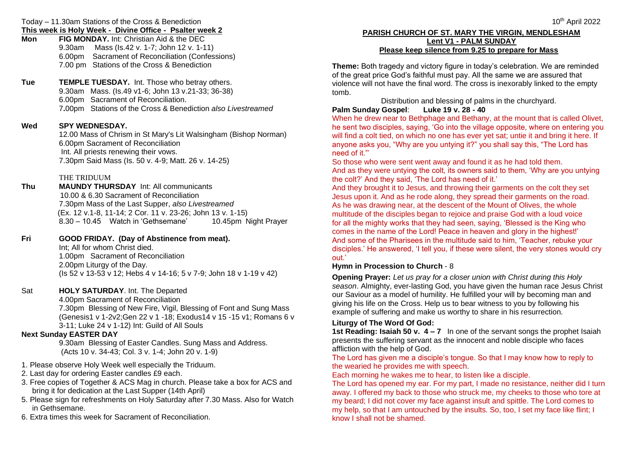Today – 11.30am Stations of the Cross & Benediction **This week is Holy Week - Divine Office - Psalter week 2**

| Mon | <b>FIG MONDAY.</b> Int: Christian Aid & the DEC |                                                  |
|-----|-------------------------------------------------|--------------------------------------------------|
|     | 9.30am                                          | Mass (Is.42 v. 1-7; John 12 v. 1-11)             |
|     |                                                 | 6.00pm Sacrament of Reconciliation (Confessions) |
|     |                                                 | 7.00 pm Stations of the Cross & Benediction      |
|     |                                                 |                                                  |

**Tue TEMPLE TUESDAY.** Int. Those who betray others. 9.30am Mass. (Is.49 v1-6; John 13 v.21-33; 36-38) 6.00pm Sacrament of Reconciliation. 7**.**00pm Stations of the Cross & Benediction *also Livestreamed*

#### **Wed SPY WEDNESDAY.**

12.00 Mass of Chrism in St Mary's Lit Walsingham (Bishop Norman) 6.00pm Sacrament of Reconciliation Int. All priests renewing their vows. 7.30pm Said Mass (Is. 50 v. 4-9; Matt. 26 v. 14-25)

#### THE TRIDUUM

**Thu MAUNDY THURSDAY** Int: All communicants 10.00 & 6.30 Sacrament of Reconciliation 7.30pm Mass of the Last Supper, *also Livestreamed* (Ex. 12 v.1-8, 11-14; 2 Cor. 11 v. 23-26; John 13 v. 1-15) 8.30 – 10.45 Watch in 'Gethsemane' 10.45pm Night Prayer

#### **Fri GOOD FRIDAY. (Day of Abstinence from meat).**

Int; All for whom Christ died. 1.00pm Sacrament of Reconciliation 2.00pm Liturgy of the Day. (Is 52 v 13-53 v 12; Hebs 4 v 14-16; 5 v 7-9; John 18 v 1-19 v 42)

#### Sat **HOLY SATURDAY**. Int. The Departed

4.00pm Sacrament of Reconciliation 7.30pm Blessing of New Fire, Vigil, Blessing of Font and Sung Mass (Genesis1 v 1-2v2;Gen 22 v 1 -18; Exodus14 v 15 -15 v1; Romans 6 v 3-11; Luke 24 v 1-12) Int: Guild of All Souls

#### **Next Sunday EASTER DAY**

9.30am Blessing of Easter Candles. Sung Mass and Address. (Acts 10 v. 34-43; Col. 3 v. 1-4; John 20 v. 1-9)

- 1. Please observe Holy Week well especially the Triduum.
- 2. Last day for ordering Easter candles £9 each.
- 3. Free copies of Together & ACS Mag in church. Please take a box for ACS and bring it for dedication at the Last Supper (14th April)
- 5. Please sign for refreshments on Holy Saturday after 7.30 Mass. Also for Watch in Gethsemane.
- 6. Extra times this week for Sacrament of Reconciliation.

## **PARISH CHURCH OF ST. MARY THE VIRGIN, MENDLESHAM Lent V1 - PALM SUNDAY Please keep silence from 9.25 to prepare for Mass**

**Theme:** Both tragedy and victory figure in today's celebration. We are reminded of the great price God's faithful must pay. All the same we are assured that violence will not have the final word. The cross is inexorably linked to the empty tomb.

Distribution and blessing of palms in the churchyard.

# **Palm Sunday Gospel**: **Luke 19 v. 28 - 40**

When he drew near to Bethphage and Bethany, at the mount that is called Olivet, he sent two disciples, saying, 'Go into the village opposite, where on entering you will find a colt tied, on which no one has ever yet sat; untie it and bring it here. If anyone asks you, "Why are you untying it?" you shall say this, "The Lord has need of it."'

So those who were sent went away and found it as he had told them. And as they were untying the colt, its owners said to them, 'Why are you untying the colt?' And they said, 'The Lord has need of it.'

And they brought it to Jesus, and throwing their garments on the colt they set Jesus upon it. And as he rode along, they spread their garments on the road. As he was drawing near, at the descent of the Mount of Olives, the whole multitude of the disciples began to rejoice and praise God with a loud voice for all the mighty works that they had seen, saying, 'Blessed is the King who comes in the name of the Lord! Peace in heaven and glory in the highest!' And some of the Pharisees in the multitude said to him, 'Teacher, rebuke your disciples.' He answered, 'I tell you, if these were silent, the very stones would cry out.'

# **Hymn in Procession to Church** - 8

**Opening Prayer:** *Let us pray for a closer union with Christ during this Holy season*. Almighty, ever-lasting God, you have given the human race Jesus Christ our Saviour as a model of humility. He fulfilled your will by becoming man and giving his life on the Cross. Help us to bear witness to you by following his example of suffering and make us worthy to share in his resurrection.

## **Liturgy of The Word Of God:**

**1st Reading: Isaiah 50 v. 4 – 7** In one of the servant songs the prophet Isaiah presents the suffering servant as the innocent and noble disciple who faces affliction with the help of God.

The Lord has given me a disciple's tongue. So that I may know how to reply to the wearied he provides me with speech.

Each morning he wakes me to hear, to listen like a disciple.

The Lord has opened my ear. For my part, I made no resistance, neither did I turn away. I offered my back to those who struck me, my cheeks to those who tore at my beard; I did not cover my face against insult and spittle. The Lord comes to my help, so that I am untouched by the insults. So, too, I set my face like flint; I know I shall not be shamed.